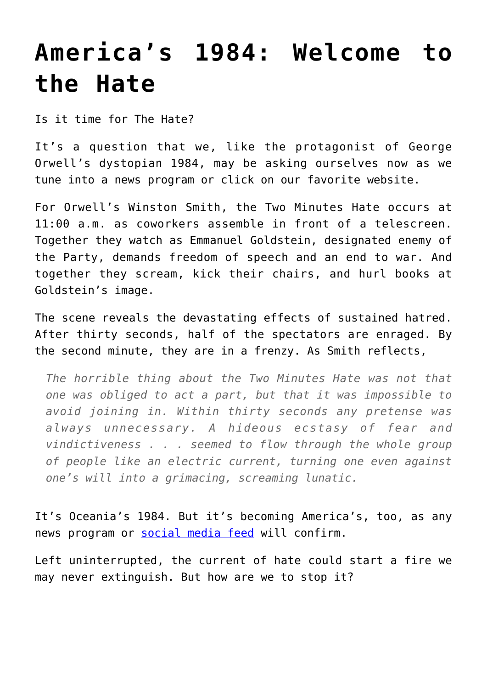# **[America's 1984: Welcome to](https://intellectualtakeout.org/2020/09/americas-1984-welcome-to-the-hate/) [the Hate](https://intellectualtakeout.org/2020/09/americas-1984-welcome-to-the-hate/)**

Is it time for The Hate?

It's a question that we, like the protagonist of George Orwell's dystopian 1984, may be asking ourselves now as we tune into a news program or click on our favorite website.

For Orwell's Winston Smith, the Two Minutes Hate occurs at 11:00 a.m. as coworkers assemble in front of a telescreen. Together they watch as Emmanuel Goldstein, designated enemy of the Party, demands freedom of speech and an end to war. And together they scream, kick their chairs, and hurl books at Goldstein's image.

The scene reveals the devastating effects of sustained hatred. After thirty seconds, half of the spectators are enraged. By the second minute, they are in a frenzy. As Smith reflects,

*The horrible thing about the Two Minutes Hate was not that one was obliged to act a part, but that it was impossible to avoid joining in. Within thirty seconds any pretense was always unnecessary. A hideous ecstasy of fear and vindictiveness . . . seemed to flow through the whole group of people like an electric current, turning one even against one's will into a grimacing, screaming lunatic.*

It's Oceania's 1984. But it's becoming America's, too, as any news program or [social media feed](https://twitter.com/dailycaller/status/1299220242330275846) will confirm.

Left uninterrupted, the current of hate could start a fire we may never extinguish. But how are we to stop it?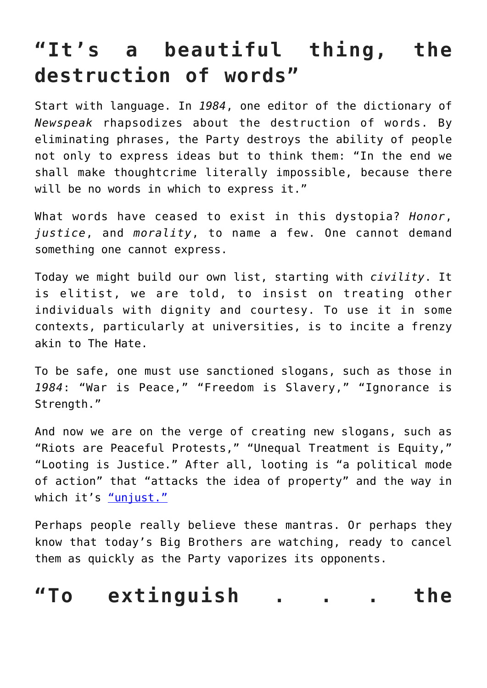## **"It's a beautiful thing, the destruction of words"**

Start with language. In *1984*, one editor of the dictionary of *Newspeak* rhapsodizes about the destruction of words. By eliminating phrases, the Party destroys the ability of people not only to express ideas but to think them: "In the end we shall make thoughtcrime literally impossible, because there will be no words in which to express it."

What words have ceased to exist in this dystopia? *Honor*, *justice*, and *morality*, to name a few. One cannot demand something one cannot express.

Today we might build our own list, starting with *civility*. It is elitist, we are told, to insist on treating other individuals with dignity and courtesy. To use it in some contexts, particularly at universities, is to incite a frenzy akin to The Hate.

To be safe, one must use sanctioned slogans, such as those in *1984*: "War is Peace," "Freedom is Slavery," "Ignorance is Strength."

And now we are on the verge of creating new slogans, such as "Riots are Peaceful Protests," "Unequal Treatment is Equity," "Looting is Justice." After all, looting is "a political mode of action" that "attacks the idea of property" and the way in which it's ["unjust."](https://www.npr.org/sections/codeswitch/2020/08/27/906642178/one-authors-argument-in-defense-of-looting)

Perhaps people really believe these mantras. Or perhaps they know that today's Big Brothers are watching, ready to cancel them as quickly as the Party vaporizes its opponents.

#### **"To extinguish . . . the**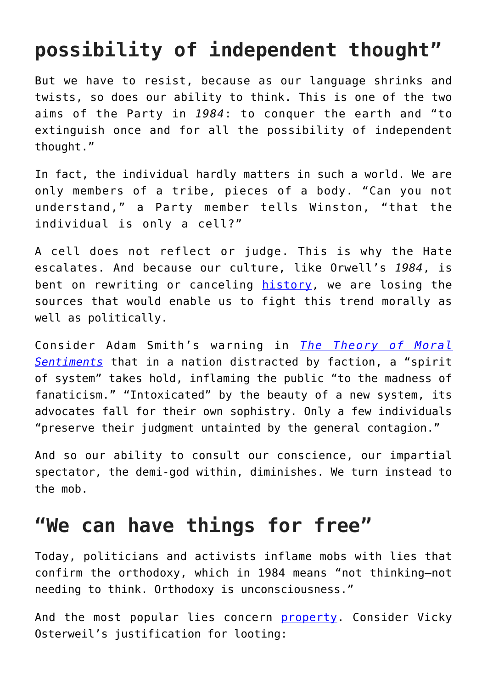### **possibility of independent thought"**

But we have to resist, because as our language shrinks and twists, so does our ability to think. This is one of the two aims of the Party in *1984*: to conquer the earth and "to extinguish once and for all the possibility of independent thought."

In fact, the individual hardly matters in such a world. We are only members of a tribe, pieces of a body. "Can you not understand," a Party member tells Winston, "that the individual is only a cell?"

A cell does not reflect or judge. This is why the Hate escalates. And because our culture, like Orwell's *1984*, is bent on rewriting or canceling [history,](https://spectator.org/chicago-cancel-history-class-public-schools/) we are losing the sources that would enable us to fight this trend morally as well as politically.

Consider Adam Smith's warning in *[The Theory of Moral](https://www.adamsmithworks.org/texts/asw-edition) [Sentiments](https://www.adamsmithworks.org/texts/asw-edition)* that in a nation distracted by faction, a "spirit of system" takes hold, inflaming the public "to the madness of fanaticism." "Intoxicated" by the beauty of a new system, its advocates fall for their own sophistry. Only a few individuals "preserve their judgment untainted by the general contagion."

And so our ability to consult our conscience, our impartial spectator, the demi-god within, diminishes. We turn instead to the mob.

#### **"We can have things for free"**

Today, politicians and activists inflame mobs with lies that confirm the orthodoxy, which in 1984 means "not thinking—not needing to think. Orthodoxy is unconsciousness."

And the most popular lies concern [property.](https://www.npr.org/sections/codeswitch/2020/08/27/906642178/one-authors-argument-in-defense-of-looting) Consider Vicky Osterweil's justification for looting: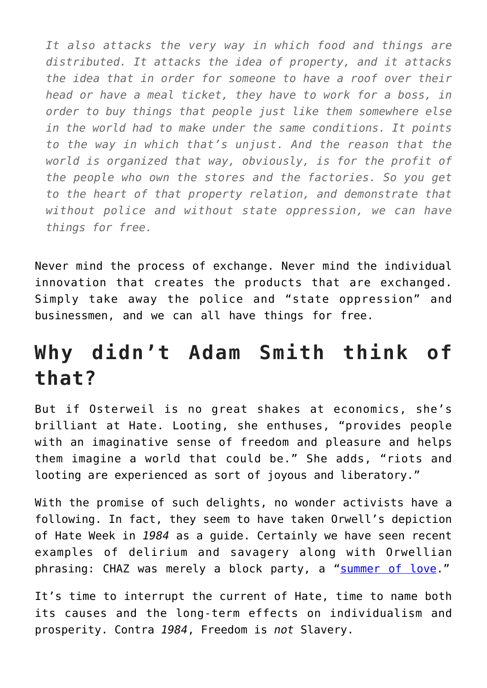*It also attacks the very way in which food and things are distributed. It attacks the idea of property, and it attacks the idea that in order for someone to have a roof over their head or have a meal ticket, they have to work for a boss, in order to buy things that people just like them somewhere else in the world had to make under the same conditions. It points to the way in which that's unjust. And the reason that the world is organized that way, obviously, is for the profit of the people who own the stores and the factories. So you get to the heart of that property relation, and demonstrate that without police and without state oppression, we can have things for free.*

Never mind the process of exchange. Never mind the individual innovation that creates the products that are exchanged. Simply take away the police and "state oppression" and businessmen, and we can all have things for free.

### **Why didn't Adam Smith think of that?**

But if Osterweil is no great shakes at economics, she's brilliant at Hate. Looting, she enthuses, "provides people with an imaginative sense of freedom and pleasure and helps them imagine a world that could be." She adds, "riots and looting are experienced as sort of joyous and liberatory."

With the promise of such delights, no wonder activists have a following. In fact, they seem to have taken Orwell's depiction of Hate Week in *1984* as a guide. Certainly we have seen recent examples of delirium and savagery along with Orwellian phrasing: CHAZ was merely a block party, a ["summer of love.](https://www.realclearpolitics.com/video/2020/06/12/seattle_mayor_durkan_chaz_has_a_block_party_atmosphere_could_turn_into_summer_of_love.html)"

It's time to interrupt the current of Hate, time to name both its causes and the long-term effects on individualism and prosperity. Contra *1984*, Freedom is *not* Slavery.